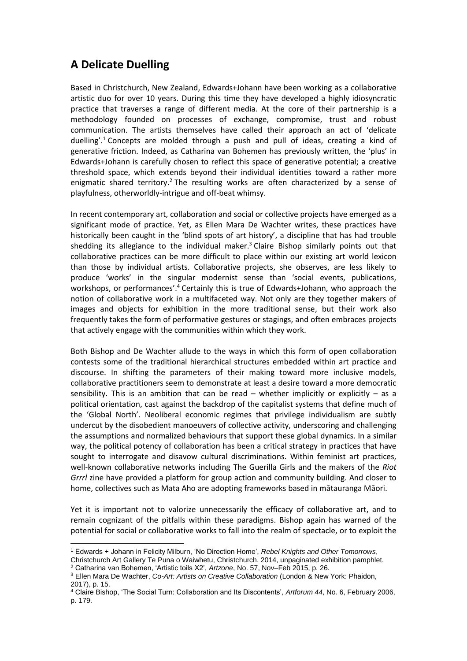## **A Delicate Duelling**

Based in Christchurch, New Zealand, Edwards+Johann have been working as a collaborative artistic duo for over 10 years. During this time they have developed a highly idiosyncratic practice that traverses a range of different media. At the core of their partnership is a methodology founded on processes of exchange, compromise, trust and robust communication. The artists themselves have called their approach an act of 'delicate duelling'. <sup>1</sup> Concepts are molded through a push and pull of ideas, creating a kind of generative friction. Indeed, as Catharina van Bohemen has previously written, the 'plus' in Edwards+Johann is carefully chosen to reflect this space of generative potential; a creative threshold space, which extends beyond their individual identities toward a rather more enigmatic shared territory.<sup>2</sup> The resulting works are often characterized by a sense of playfulness, otherworldly-intrigue and off-beat whimsy.

In recent contemporary art, collaboration and social or collective projects have emerged as a significant mode of practice. Yet, as Ellen Mara De Wachter writes, these practices have historically been caught in the 'blind spots of art history', a discipline that has had trouble shedding its allegiance to the individual maker.<sup>3</sup> Claire Bishop similarly points out that collaborative practices can be more difficult to place within our existing art world lexicon than those by individual artists. Collaborative projects, she observes, are less likely to produce 'works' in the singular modernist sense than 'social events, publications, workshops, or performances'.<sup>4</sup> Certainly this is true of Edwards+Johann, who approach the notion of collaborative work in a multifaceted way. Not only are they together makers of images and objects for exhibition in the more traditional sense, but their work also frequently takes the form of performative gestures or stagings, and often embraces projects that actively engage with the communities within which they work.

Both Bishop and De Wachter allude to the ways in which this form of open collaboration contests some of the traditional hierarchical structures embedded within art practice and discourse. In shifting the parameters of their making toward more inclusive models, collaborative practitioners seem to demonstrate at least a desire toward a more democratic sensibility. This is an ambition that can be read  $-$  whether implicitly or explicitly  $-$  as a political orientation, cast against the backdrop of the capitalist systems that define much of the 'Global North'. Neoliberal economic regimes that privilege individualism are subtly undercut by the disobedient manoeuvers of collective activity, underscoring and challenging the assumptions and normalized behaviours that support these global dynamics. In a similar way, the political potency of collaboration has been a critical strategy in practices that have sought to interrogate and disavow cultural discriminations. Within feminist art practices, well-known collaborative networks including The Guerilla Girls and the makers of the *Riot Grrrl* zine have provided a platform for group action and community building. And closer to home, collectives such as Mata Aho are adopting frameworks based in mātauranga Māori.

Yet it is important not to valorize unnecessarily the efficacy of collaborative art, and to remain cognizant of the pitfalls within these paradigms. Bishop again has warned of the potential for social or collaborative works to fall into the realm of spectacle, or to exploit the

- $\overline{\phantom{a}}$ <sup>1</sup> Edwards + Johann in Felicity Milburn, 'No Direction Home', *Rebel Knights and Other Tomorrows*,
- Christchurch Art Gallery Te Puna o Waiwhetu, Christchurch, 2014, unpaginated exhibition pamphlet.

<sup>2</sup> Catharina van Bohemen, 'Artistic toils X2', *Artzone*, No. 57, Nov–Feb 2015, p. 26.

<sup>3</sup> Ellen Mara De Wachter, *Co-Art: Artists on Creative Collaboration* (London & New York: Phaidon, 2017), p. 15.

<sup>4</sup> Claire Bishop, 'The Social Turn: Collaboration and Its Discontents', *Artforum 44*, No. 6, February 2006, p. 179.